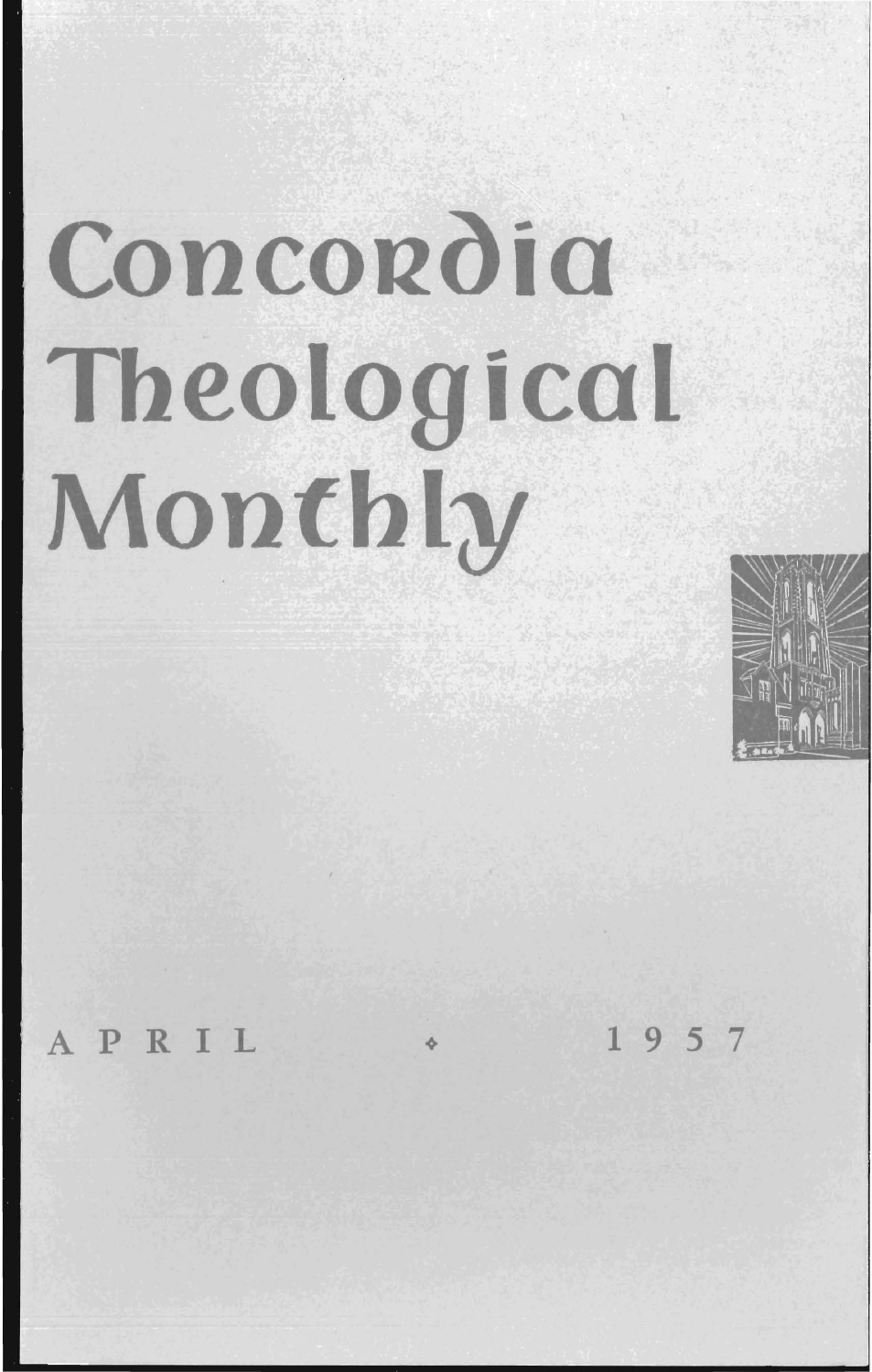# Concordia **Theological Monthly**



PRIL  $\sqrt{1957}$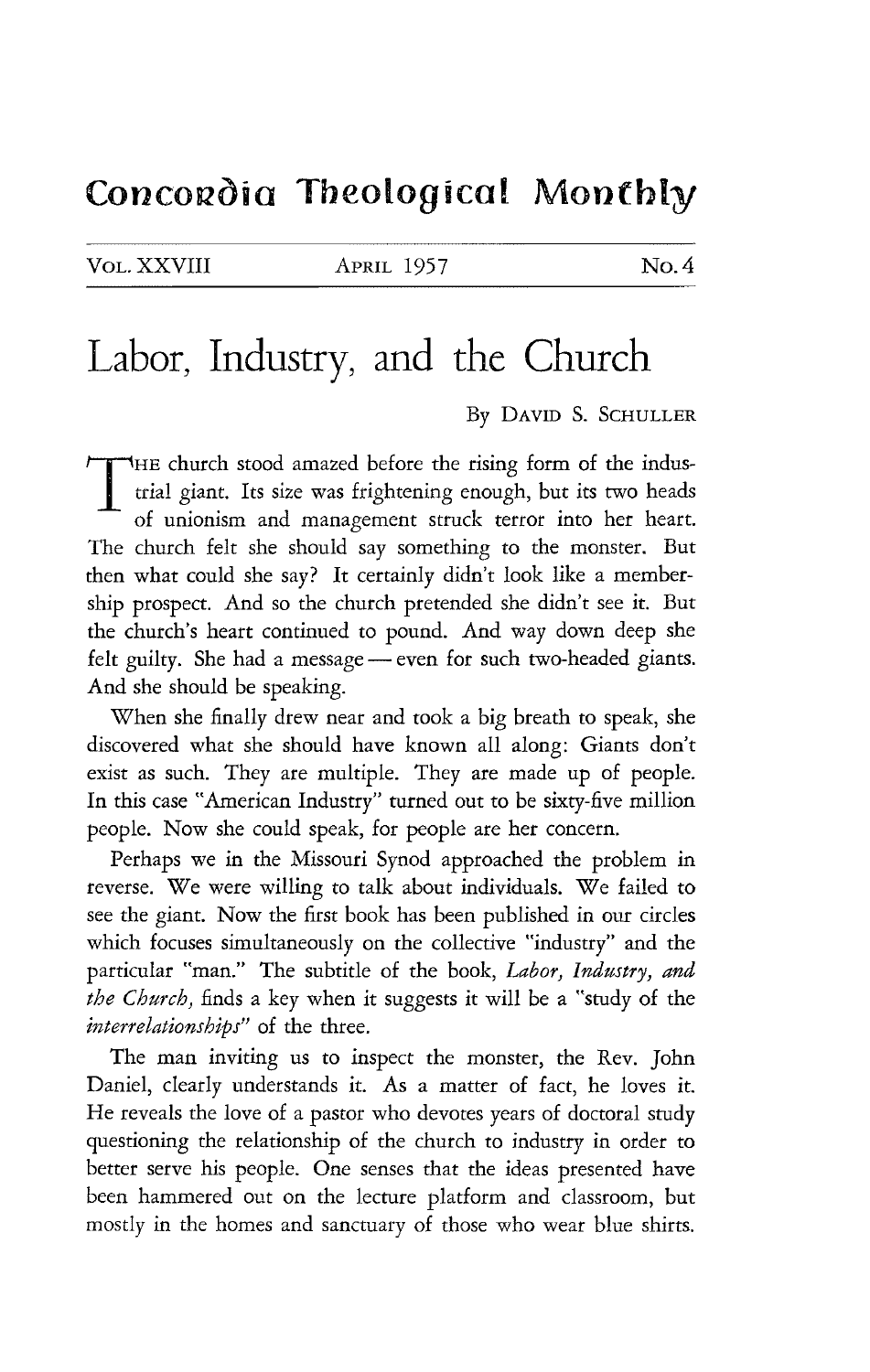### Concordia Theological Monthly

VOL. XXVIII APRIL 1957 No. 4

## **Labor, Industry, and the Church**

By DAVID S. SCHULLER

THE church stood amazed before the rising form of the indus-<br>trial giant. Its size was frightening enough, but its two heads of unionism and management struck terror into her heart. The church felt she should say something to the monster. But then what could she say? It certainly didn't look like a membership prospect. And so the church pretended she didn't see it. But the church's heart continued to pound. And way down deep she felt guilty. She had a message — even for such two-headed giants. And she should be speaking.

When she finally drew near and took a big breath to speak, she discovered what she should have known all along: Giants don't exist as such. They are multiple. They are made up of people. In this case "American Industry" turned out to be sixty-five million people. Now she could speak, for people are her concern.

Perhaps we in the Missouri Synod approached the problem in reverse. We were willing to talk about individuals. We failed to see the giant. Now the first book has been published in our circles which focuses simultaneously on the collective "industry" and the particular "man." The subtitle of the book, *Labor, Industry, and the Church,* finds a key when it suggests it will be a "study of the *interrelationships"* of the three.

The man inviting us to inspect the monster, the Rev. John Daniel, clearly understands it. As a matter of fact, he loves *it.*  He reveals the love of a pastor who devotes years of doctoral study questioning the relationship of the church to industry in order to better serve his people. One senses that the ideas presented have been hammered out on the lecture platform and classroom, but mostly in the homes and sanctuary of those who wear blue shirts.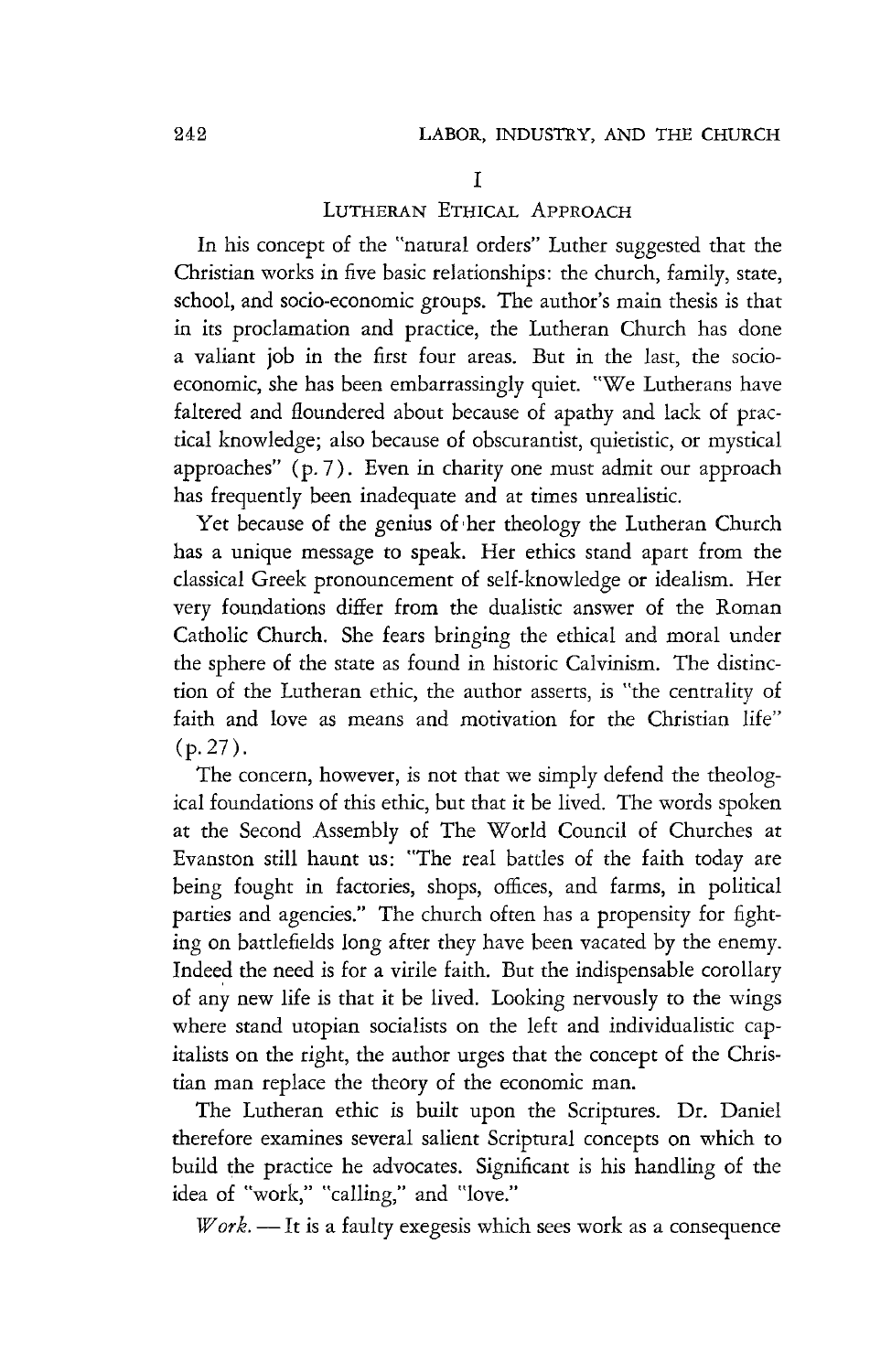#### I

#### LUTHERAN ETHICAL ApPROACH

In his concept of the "natural orders" Luther suggested that the Christian works in five basic relationships: the church, family, state, school, and socio-economic groups. The author's main thesis is that in its proclamation and practice, the Lutheran Church has done a valiant job in the first four areas. But in the last, the socioeconomic, she has been embarrassingly quiet. "We Lutherans have faltered and floundered about because of apathy and lack of practical knowledge; also because of obscurantist, quietistic, or mystical approaches" (p. 7). Even in charity one must admit our approach has frequently been inadequate and at times unrealistic.

Yet because of the genius of her theology the Lutheran Church has a unique message to speak. Her ethics stand apart from the classical Greek pronouncement of self-knowledge or idealism. Her very foundations differ from the dualistic answer of the Roman Catholic Church. She fears bringing the ethical and moral under the sphere of the state as found in historic Calvinism. The distinction of the Lutheran ethic, the author asserts, is "the centrality of faith and love as means and motivation for the Christian life"  $(p.27)$ .

The concern, however, is not that we simply defend the theological foundations of this ethic, but that it be lived. The words spoken at the Second Assembly of The World Council of Churches at Evanston still haunt us: "The real battles of the faith today are being fought in factories, shops, offices, and farms, in political parties and agencies." The church often has a propensity for fighting on battlefields long after they have been vacated by the enemy. Indeed the need is for a virile faith. But the indispensable corollary of any new life is that it be lived. Looking nervously to the wings where stand utopian socialists on the left and individualistic capitalists on the right, the author urges that the concept of the Christian man replace the theory of the economic man.

The Lutheran ethic is built upon the Scriptures. Dr. Daniel therefore examines several salient Scriptural concepts on which to build the practice he advocates. Significant is his handling of the idea of "work," "calling," and "love."

*Work*. - It is a faulty exegesis which sees work as a consequence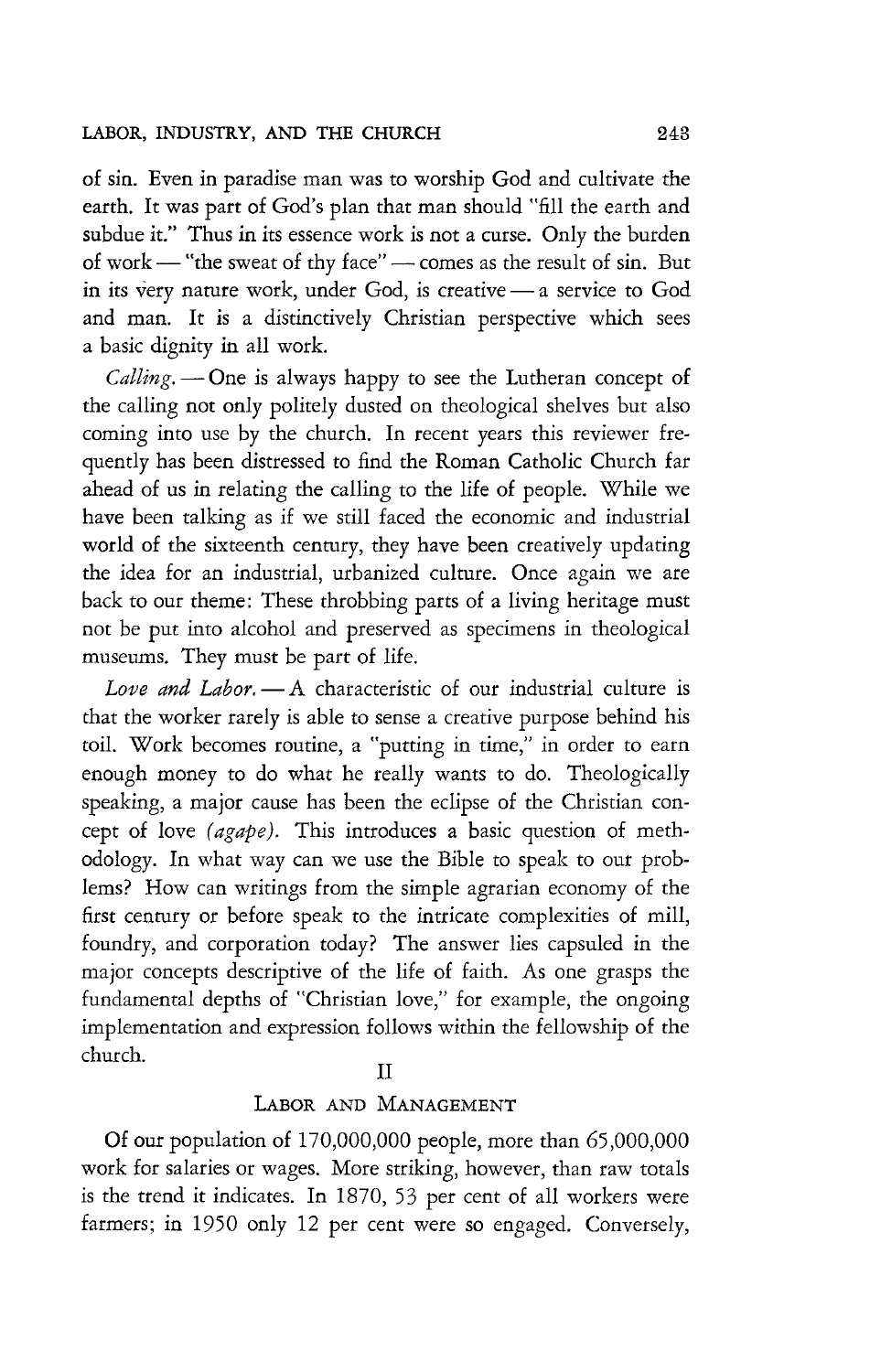#### LABOR, INDUSTRY, AND THE CHURCH 243

of sin. Even in paradise man was to worship God and cultivate the earth. It was part of God's plan that man should "fill the earth and subdue it." Thus in its essence work is not a curse. Only the burden of work - "the sweat of thy face" - comes as the result of sin. But in its very nature work, under God, is creative  $-$  a service to God and man. It is a distinctively Christian perspective which sees a basic dignity in all work.

Calling. - One is always happy to see the Lutheran concept of the calling not only politely dusted on theological shelves but also coming into use by the church. In recent years this reviewer frequently has been distressed to find the Roman Catholic Church far ahead of us in relating the calling to the life of people. While we have been talking as if we still faced the economic and industrial world of the sixteenth century, they have been creatively updating the idea for an industrial, urbanized culture. Once again we are back to our theme: These throbbing parts of a living heritage must not be put into alcohol and preserved as specimens in theological museums. They must be part of life.

*Love and Labor.* — A characteristic of our industrial culture is that the worker rarely is able to sense a creative purpose behind his toil. Work becomes routine, a "putting in time," in order to earn enough money to do what he really wants to do. Theologically speaking, a major cause has been the eclipse of the Christian concept of love *(agape).* This introduces a basic question of methodology. In what way can we use the Bible to speak to our problems? How can writings from the simple agrarian economy of the first century or before speak to the intricate complexities of mill, foundry, and corporation today? The answer lies capsuled in the major concepts descriptive of the life of faith. As one grasps the fundamental depths of "Christian love," for example, the ongoing implementation and expression follows within the fellowship of the church.

#### II

#### LABOR AND MANAGEMENT

Of our population of 170,000,000 people, more than 65,000,000 work for salaries or wages. More striking, however, than raw totals is the trend it indicates. In 1870, 53 per cent of all workers were farmers; in 1950 only 12 per cent were so engaged. Conversely,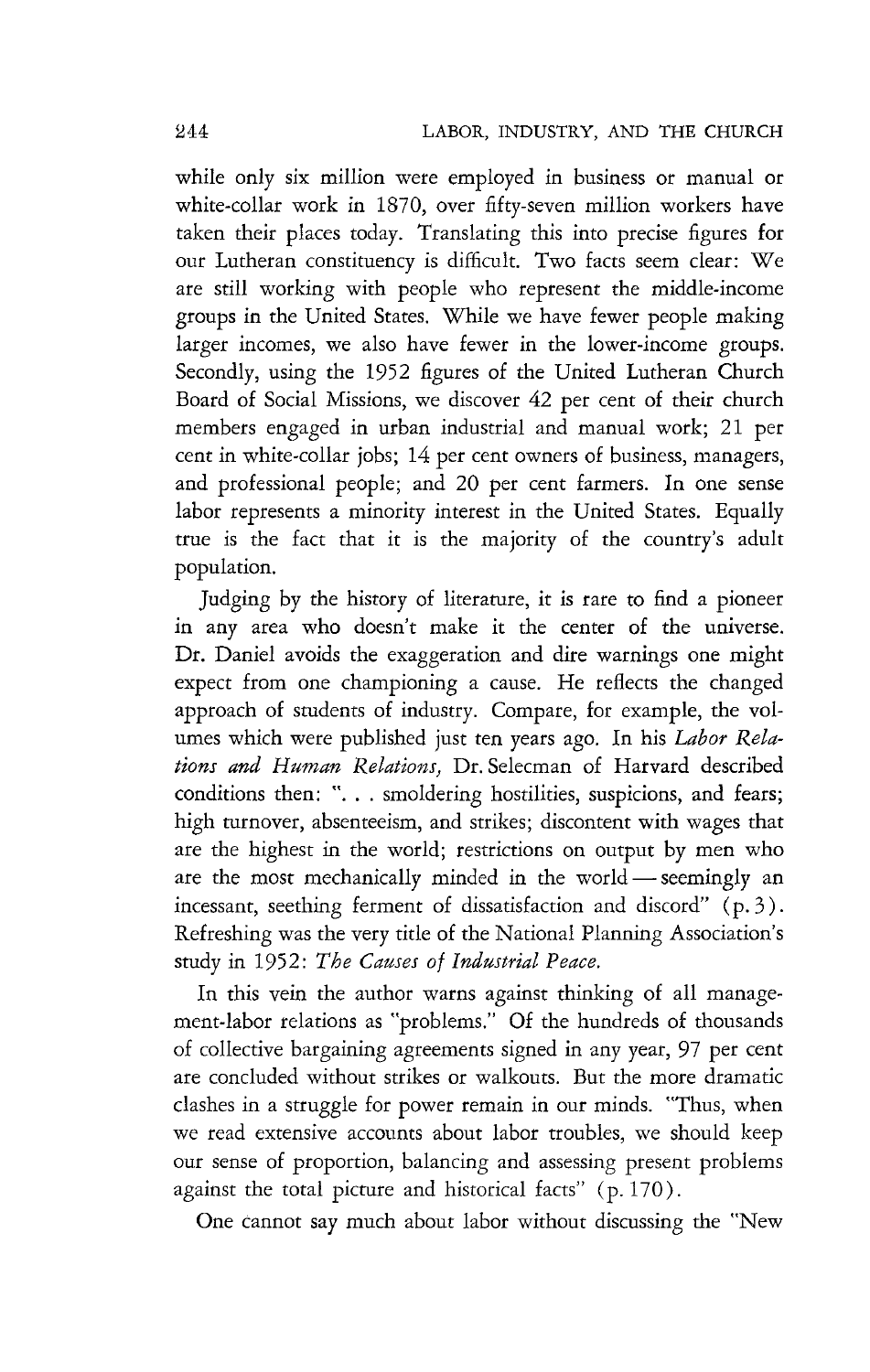while only six million were employed in business or manual or white-collar work in 1870, over fifty-seven million workers have taken their places today. Translating this into precise figures for our Lutheran constituency is difficult. Two facts seem clear: We are still working with people who represent the middle-income groups in the United States. While we have fewer people making larger incomes, we also have fewer in the lower-income groups. Secondly, using the 1952 figures of the United Lutheran Church Board of Social Missions, we discover 42 per cent of their church members engaged in urban industrial and manual work; 21 per cent in white-collar jobs; 14 per cent owners of business, managers, and professional people; and 20 per cent farmers. In one sense labor represents a minority interest in the United States. Equally true is the fact that it is the majority of the country's adult population.

Judging by the history of literature, it is rare to find a pioneer in any area who doesn't make it the center of the universe. Dr. Daniel avoids the exaggeration and dire warnings one might expect from one championing a cause. He reflects the changed approach of students of industry. Compare, for example, the volumes which were published just ten years ago. In his *Labor Rela*tions and Human Relations, Dr. Selecman of Harvard described conditions then: "... smoldering hostilities, suspicions, and fears; high turnover, absenteeism, and strikes; discontent with wages that are the highest in the world; restrictions on output by men who are the most mechanically minded in the world - seemingly an incessant, seething ferment of dissatisfaction and discord" (p. 3 ) . Refreshing was the very title of the National Planning Association's study in 1952: *The Causes of Industrial Peace.* 

In this vein the author warns against thinking of all management-labor relations as "problems." Of the hundreds of thousands of collective bargaining agreements signed in any year, 97 per cent are concluded without strikes or walkouts. But the more dramatic clashes in a struggle for power remain in our minds. "Thus, when we read extensive accounts about labor troubles, we should keep our sense of proportion, balancing and assessing present problems against the total picture and historical facts" (p. 170).

One cannot say much about labor without discussing the "New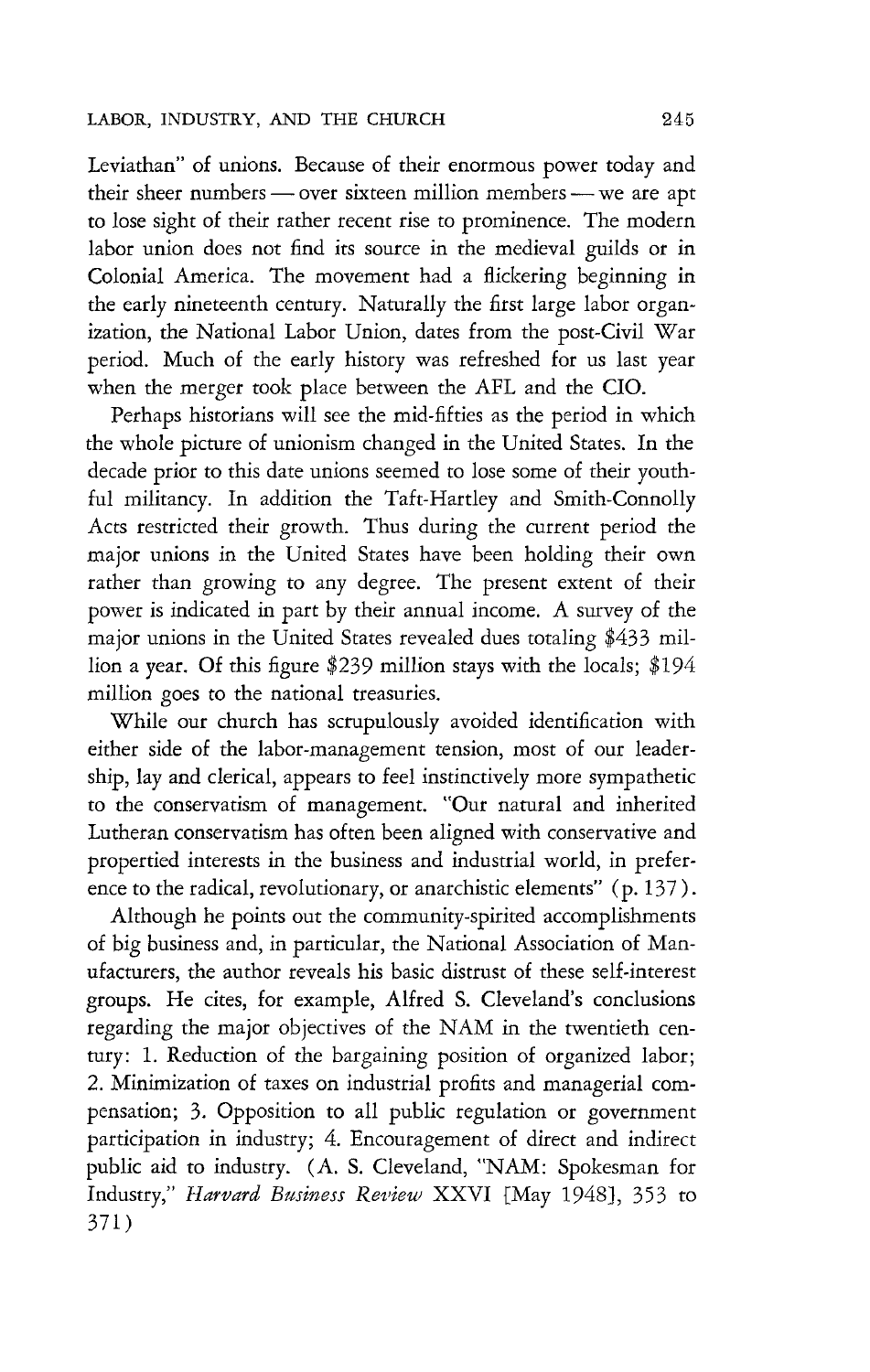Leviathan" of unions. Because of their enormous power today and their sheer numbers - over sixteen million members - we are apt to lose sight of their rather recent rise to prominence. The modern labor union does not find its source in the medieval guilds or in Colonial America. The movement had a flickering beginning in the early nineteenth century. Naturally the first large labor organization, the National Labor Union, dates from the post-Civil War period. Much of the early history was refreshed for us last year when the merger took place between the AFL and the CIO.

Perhaps historians will see the mid-fifties as the period in which the whole picture of unionism changed in the United States. **In** the decade prior to this date unions seemed to lose some of their youthful militancy. In addition the Taft-Hartley and Smith-Connolly Acts restricted their growth. Thus during the current period the major unions in the United States have been holding their own rather than growing to any degree. The present extent of their power is indicated in part by their annual income. A survey of the major unions in the United States revealed dues totaling \$433 million a year. Of this figure \$239 million stays with the locals; \$194 million goes to the national treasuries.

While our church has scrupulously avoided identification with either side of the labor-management tension, most of our leadership, lay and clerical, appears to feel instinctively more sympathetic to the conservatism of management. "Our natural and inherited Lutheran conservatism has often been aligned with conservative and propertied interests in the business and industrial world, in preference to the radical, revolutionary, or anarchistic elements" (p. 137).

Although he points out the community-spirited accomplishments of big business and, in particular, the National Association of Manufacturers, the author reveals his basic distrust of these self-interest groups. He cites, for example, Alfred S. Cleveland's conclusions regarding the major objectives of the NAM in the twentieth century: 1. Reduction of the bargaining position of organized labor; 2. Minimization of taxes on industrial profits and managerial compensation; 3. Opposition to all public regulation or government participation in industry; 4. Encouragement of direct and indirect public aid to industry. (A. S. Cleveland, "NAM: Spokesman for Industry," *Harvard Business Review XXVI* [May 1948], 353 to 371)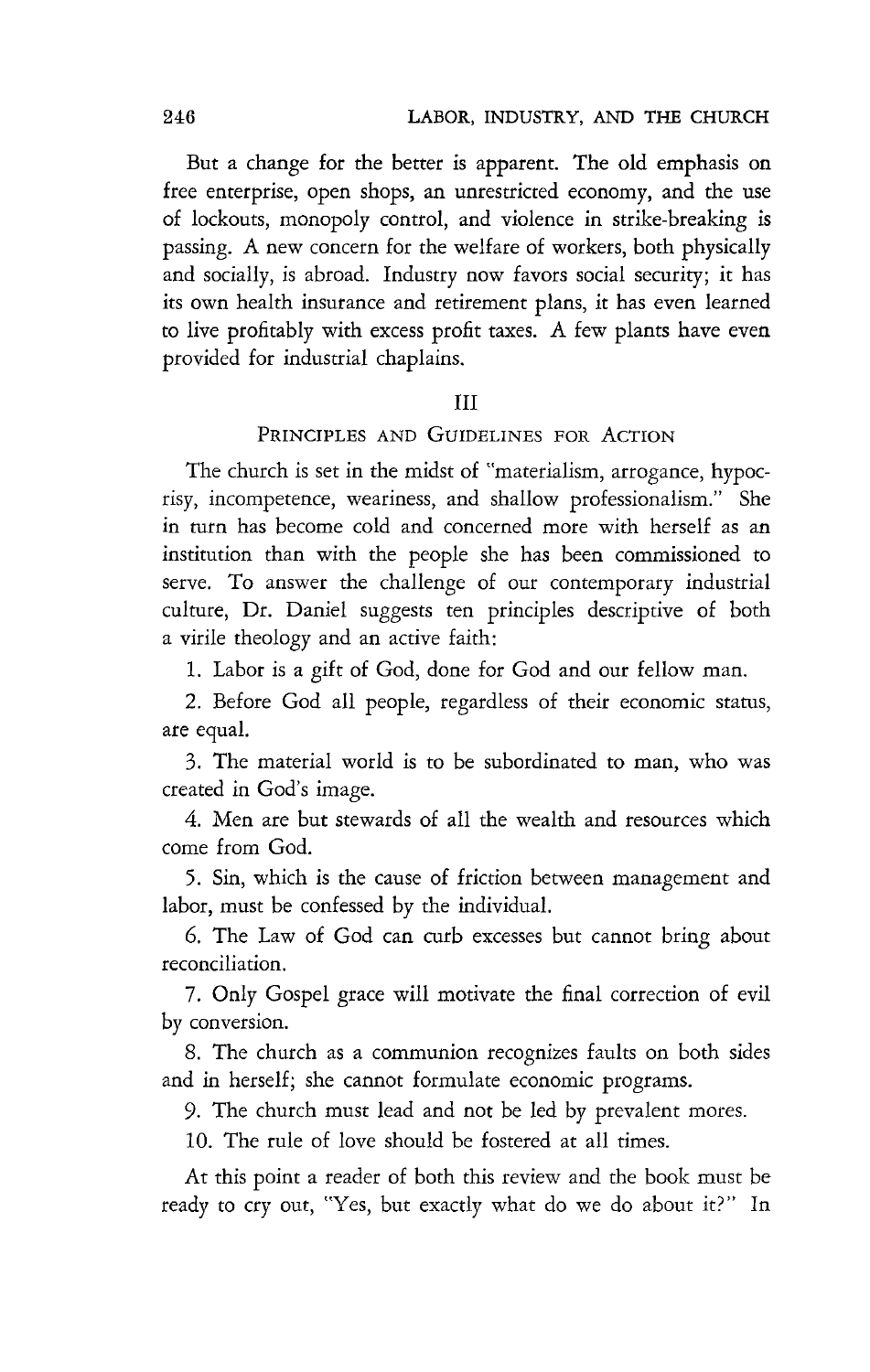But a change for the better is apparent. The old emphasis on free enterprise, open shops, an unrestricted economy, and the use of lockouts, monopoly control, and violence in strike-breaking is passing. A new concern for the welfare of workers, both physically and socially, is abroad. Industry now favors social security; it has its own health insurance and retirement plans, it has even learned to live profitably with excess profit taxes. A few plants have even provided for industrial chaplains.

#### III

#### PRINCIPLES AND GUIDELINES FOR ACTION

The church is set in the midst of "materialism, arrogance, hypocrisy, incompetence, weariness, and shallow professionalism." She in turn has become cold and concerned more with herself as an institution than with the people she has been commissioned to serve. To answer the challenge of our contemporary industrial culture, Dr. Daniel suggests ten principles descriptive of both a virile theology and an active faith:

1. Labor is a gift of God, done for God and our fellow man.

2. Before God all people, regardless of their economic status, are equal.

3. The material world is to be subordinated to man, who was created in God's image.

4. Men are but stewards of all the wealth and resources which come from God.

5. Sin, which is the cause of friction between management and labor, must be confessed by the individual.

6. The Law of God can curb excesses but cannot bring about reconciliation.

7. Only Gospel grace will motivate the final correction of evil by conversion.

S. The church as a communion recognizes faults on both sides and in herself; she cannot formulate economic programs.

9. The church must lead and not be led by prevalent mores.

10. The rule of love should be fostered at all times.

At this point a reader of both this review and the book must be ready to cry out, "Yes, but exactly what do we do about it?" In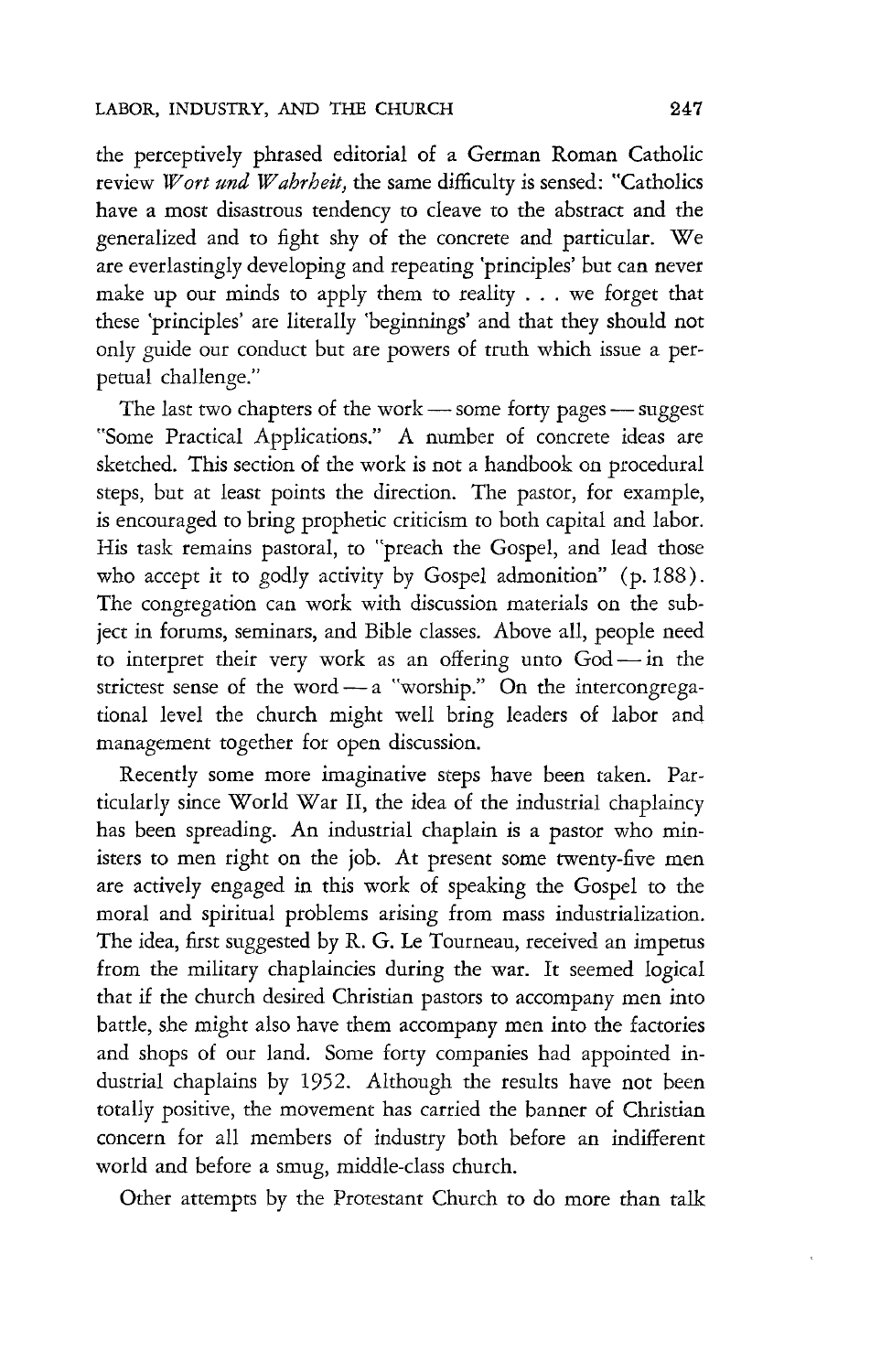the perceptively phrased editorial of a German Roman Catholic review *Wort und Wahrheit,* the same difficulty is sensed: "Catholics have a most disastrous tendency to cleave to the abstract and the generalized and to fight shy of the concrete and particular. We are everlastingly developing and repeating 'principles' but can never make up our minds to apply them to reality ... we forget that these 'principles' are literally 'beginnings' and that they should not only guide our conduct but are powers of truth which issue a perpetual challenge."

The last two chapters of the work  $-$  some forty pages  $-$  suggest "Some Practical Applications." A number of concrete ideas are sketched. This section of the work is not a handbook on procedural steps, but at least points the direction. The pastor, for example, is encouraged to bring prophetic criticism to both capital and labor. His task remains pastoral, to "preach the Gospel, and lead those who accept it to godly activity by Gospel admonition" (p. 188). The congregation can work with discussion materials on the subject in forums, seminars, and Bible classes. Above all, people need to interpret their very work as an offering unto  $God - in$  the strictest sense of the word  $-$  a "worship." On the intercongregational level the church might well bring leaders of labor and management together for open discussion.

Recently some more imaginative steps have been taken. Particularly since World War II, the idea of the industrial chaplaincy has been spreading. An industrial chaplain is a pastor who ministers to men right on the job. At present some twenty-five men are actively engaged in this work of speaking the Gospel to the moral and spiritual problems arising from mass industrialization. The idea, first suggested by R. G. Le Tourneau, received an impetus from the military chaplaincies during the war. It seemed logical that if the church desired Christian pastors to accompany men into battle, she might also have them accompany men into the factories and shops of our land. Some forty companies had appointed industrial chaplains by 1952. Although the results have not been totally positive, the movement has carried the banner of Christian concern for all members of industry both before an indifferent world and before a smug, middle-class church.

Other attempts by the Protestant Church to do more than talk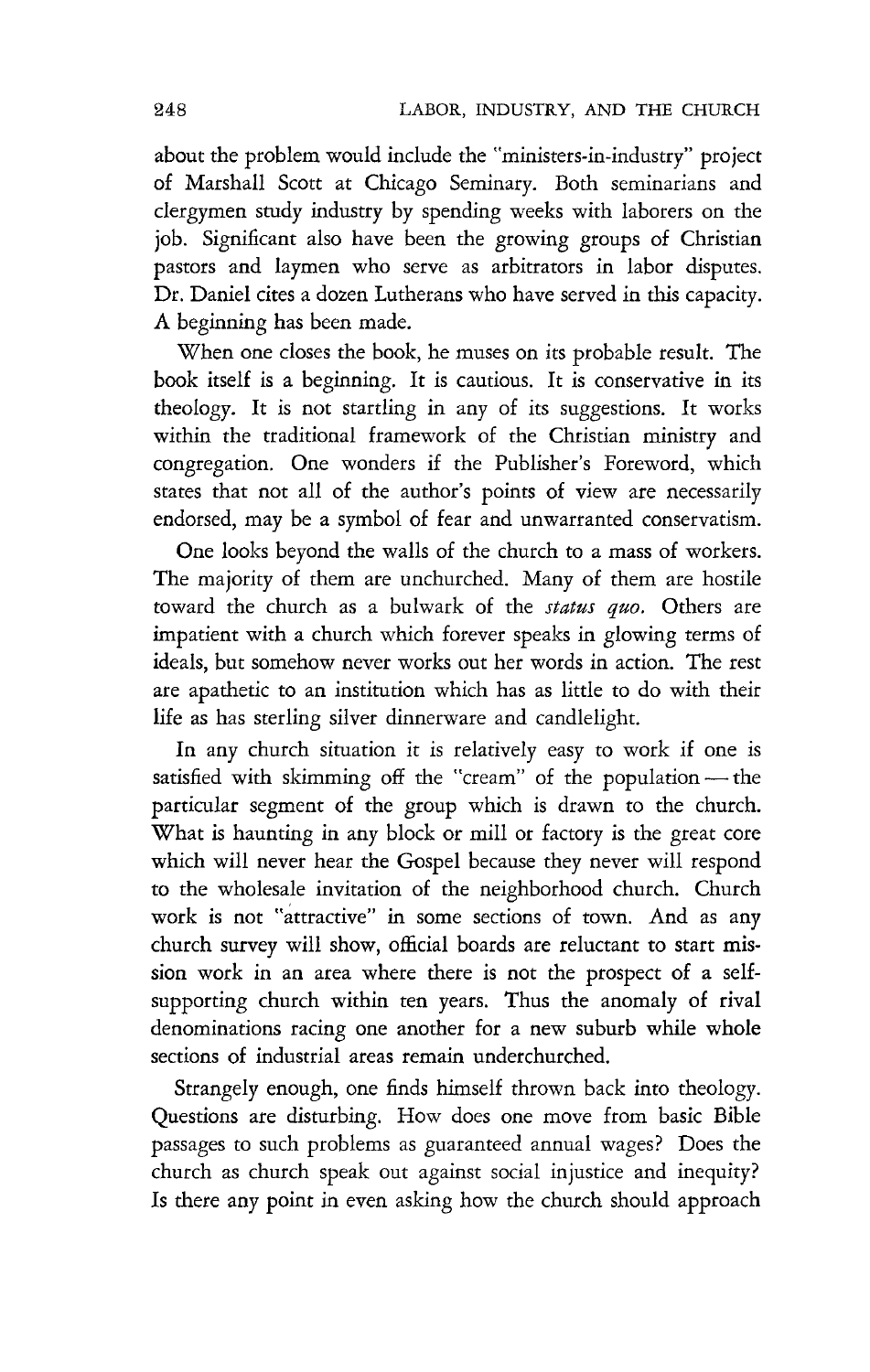about the problem would include the "ministers-in-industry" project of Marshall Scott at Chicago Seminary. Both seminarians and clergymen study industry by spending weeks with laborers on the job. Significant also have been the growing groups of Christian pastors and laymen who serve as arbitrators in labor disputes. Dr. Daniel cites a dozen Lutherans who have served in this capacity. A beginning has been made.

When one closes the book, he muses on its probable result. The book itself is a beginning. It is cautious. It is conservative in its theology. It is not startling in any of its suggestions. It works within the traditional framework of the Christian ministry and congregation. One wonders if the Publisher's Foreword, which states that not all of the author's points of view are necessarily endorsed, may be a symbol of fear and unwarranted conservatism.

One looks beyond the walls of the church to a mass of workers. The majority of them are unchurched. Many of them are hostile toward the church as a bulwark of the *status quo.* Others are impatient with a church which forever speaks in glowing terms of ideals, but somehow never works out her words in action. The rest are apathetic to an institution which has as little to do with their life as has sterling silver dinnerware and candlelight.

In any church situation *it* is relatively easy to work if one is satisfied with skimming off the "cream" of the population - the particular segment of the group which *is* drawn to the church. What is haunting in any block or mill or factory is the great core which will never hear the Gospel because they never will respond to the wholesale invitation of the neighborhood church. Church work is not "attractive" in some sections of town. And as any church survey will show, official boards are reluctant to start mission work in an area where there is not the prospect of a selfsupporting church within ten years. Thus the anomaly of rival denominations racing one another for a new suburb while whole sections of industrial areas remain underchurched.

Strangely enough, one finds himself thrown back into theology. Questions are disturbing. How does one move from basic Bible passages to such problems as guaranteed annual wages? Does the church as church speak out against social injustice and inequity? Is there any point in even asking how the church should approach